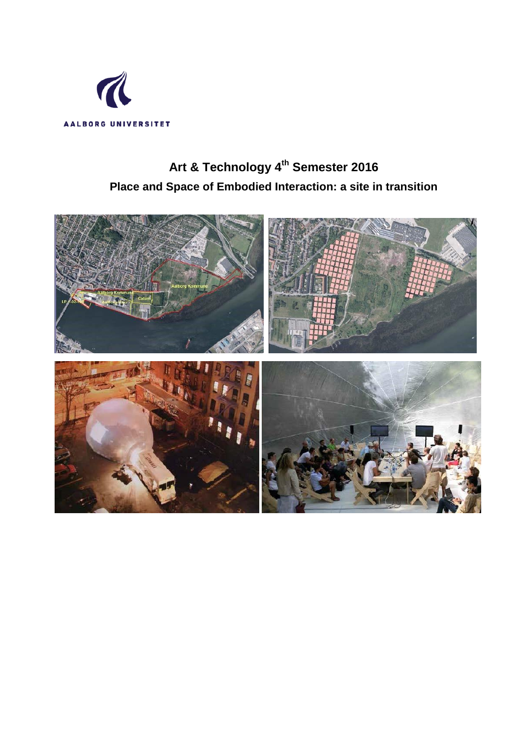

# **Art & Technology 4th Semester 2016 Place and Space of Embodied Interaction: a site in transition**

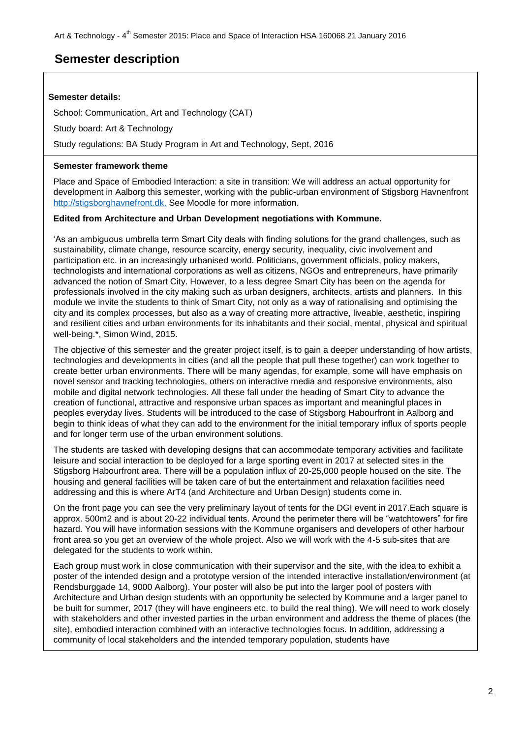## **Semester description**

## **Semester details:**

School: Communication, Art and Technology (CAT)

Study board: Art & Technology

Study regulations: BA Study Program in Art and Technology, Sept, 2016

## **Semester framework theme**

Place and Space of Embodied Interaction: a site in transition: We will address an actual opportunity for development in Aalborg this semester, working with the public-urban environment of Stigsborg Havnenfront [http://stigsborghavnefront.dk.](http://stigsborghavnefront.dk/) See Moodle for more information.

## **Edited from Architecture and Urban Development negotiations with Kommune.**

"As an ambiguous umbrella term Smart City deals with finding solutions for the grand challenges, such as sustainability, climate change, resource scarcity, energy security, inequality, civic involvement and participation etc. in an increasingly urbanised world. Politicians, government officials, policy makers, technologists and international corporations as well as citizens, NGOs and entrepreneurs, have primarily advanced the notion of Smart City. However, to a less degree Smart City has been on the agenda for professionals involved in the city making such as urban designers, architects, artists and planners. In this module we invite the students to think of Smart City, not only as a way of rationalising and optimising the city and its complex processes, but also as a way of creating more attractive, liveable, aesthetic, inspiring and resilient cities and urban environments for its inhabitants and their social, mental, physical and spiritual well-being.\*, Simon Wind, 2015.

The objective of this semester and the greater project itself, is to gain a deeper understanding of how artists, technologies and developments in cities (and all the people that pull these together) can work together to create better urban environments. There will be many agendas, for example, some will have emphasis on novel sensor and tracking technologies, others on interactive media and responsive environments, also mobile and digital network technologies. All these fall under the heading of Smart City to advance the creation of functional, attractive and responsive urban spaces as important and meaningful places in peoples everyday lives. Students will be introduced to the case of Stigsborg Habourfront in Aalborg and begin to think ideas of what they can add to the environment for the initial temporary influx of sports people and for longer term use of the urban environment solutions.

The students are tasked with developing designs that can accommodate temporary activities and facilitate leisure and social interaction to be deployed for a large sporting event in 2017 at selected sites in the Stigsborg Habourfront area. There will be a population influx of 20-25,000 people housed on the site. The housing and general facilities will be taken care of but the entertainment and relaxation facilities need addressing and this is where ArT4 (and Architecture and Urban Design) students come in.

On the front page you can see the very preliminary layout of tents for the DGI event in 2017.Each square is approx. 500m2 and is about 20-22 individual tents. Around the perimeter there will be "watchtowers" for fire hazard. You will have information sessions with the Kommune organisers and developers of other harbour front area so you get an overview of the whole project. Also we will work with the 4-5 sub-sites that are delegated for the students to work within.

Each group must work in close communication with their supervisor and the site, with the idea to exhibit a poster of the intended design and a prototype version of the intended interactive installation/environment (at Rendsburggade 14, 9000 Aalborg). Your poster will also be put into the larger pool of posters with Architecture and Urban design students with an opportunity be selected by Kommune and a larger panel to be built for summer, 2017 (they will have engineers etc. to build the real thing). We will need to work closely with stakeholders and other invested parties in the urban environment and address the theme of places (the site), embodied interaction combined with an interactive technologies focus. In addition, addressing a community of local stakeholders and the intended temporary population, students have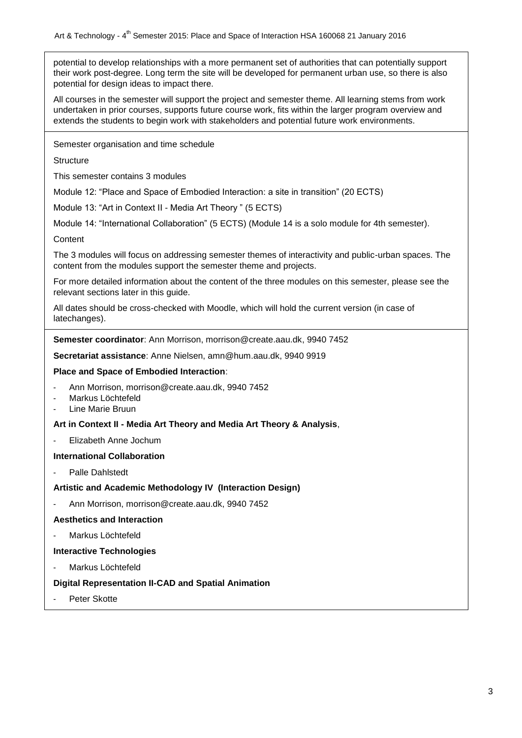potential to develop relationships with a more permanent set of authorities that can potentially support their work post-degree. Long term the site will be developed for permanent urban use, so there is also potential for design ideas to impact there.

All courses in the semester will support the project and semester theme. All learning stems from work undertaken in prior courses, supports future course work, fits within the larger program overview and extends the students to begin work with stakeholders and potential future work environments.

Semester organisation and time schedule

**Structure** 

This semester contains 3 modules

Module 12: "Place and Space of Embodied Interaction: a site in transition" (20 ECTS)

Module 13: "Art in Context II - Media Art Theory " (5 ECTS)

Module 14: "International Collaboration" (5 ECTS) (Module 14 is a solo module for 4th semester).

Content

The 3 modules will focus on addressing semester themes of interactivity and public-urban spaces. The content from the modules support the semester theme and projects.

For more detailed information about the content of the three modules on this semester, please see the relevant sections later in this guide.

All dates should be cross-checked with Moodle, which will hold the current version (in case of latechanges).

**Semester coordinator**: Ann Morrison, morrison@create.aau.dk, 9940 7452

**Secretariat assistance**: Anne Nielsen, amn@hum.aau.dk, 9940 9919

#### **Place and Space of Embodied Interaction**:

- Ann Morrison, morrison@create.aau.dk, 9940 7452
- Markus Löchtefeld
- Line Marie Bruun

## **Art in Context II - Media Art Theory and Media Art Theory & Analysis**,

- Elizabeth Anne Jochum

## **International Collaboration**

Palle Dahlstedt

## **Artistic and Academic Methodology IV (Interaction Design)**

Ann Morrison, morrison@create.aau.dk, 9940 7452

#### **Aesthetics and Interaction**

Markus Löchtefeld

## **Interactive Technologies**

Markus Löchtefeld

## **Digital Representation II-CAD and Spatial Animation**

Peter Skotte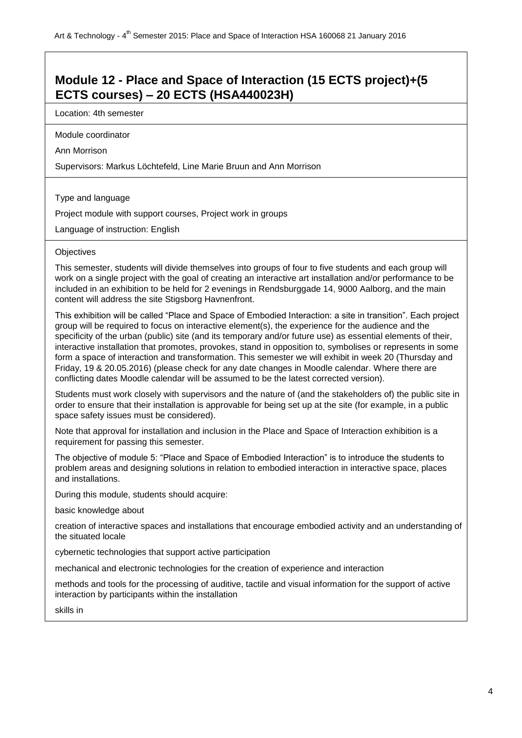## **Module 12 - Place and Space of Interaction (15 ECTS project)+(5 ECTS courses) – 20 ECTS (HSA440023H)**

Location: 4th semester

Module coordinator

Ann Morrison

Supervisors: Markus Löchtefeld, Line Marie Bruun and Ann Morrison

Type and language

Project module with support courses, Project work in groups

Language of instruction: English

#### **Objectives**

This semester, students will divide themselves into groups of four to five students and each group will work on a single project with the goal of creating an interactive art installation and/or performance to be included in an exhibition to be held for 2 evenings in Rendsburggade 14, 9000 Aalborg, and the main content will address the site Stigsborg Havnenfront.

This exhibition will be called "Place and Space of Embodied Interaction: a site in transition". Each project group will be required to focus on interactive element(s), the experience for the audience and the specificity of the urban (public) site (and its temporary and/or future use) as essential elements of their, interactive installation that promotes, provokes, stand in opposition to, symbolises or represents in some form a space of interaction and transformation. This semester we will exhibit in week 20 (Thursday and Friday, 19 & 20.05.2016) (please check for any date changes in Moodle calendar. Where there are conflicting dates Moodle calendar will be assumed to be the latest corrected version).

Students must work closely with supervisors and the nature of (and the stakeholders of) the public site in order to ensure that their installation is approvable for being set up at the site (for example, in a public space safety issues must be considered).

Note that approval for installation and inclusion in the Place and Space of Interaction exhibition is a requirement for passing this semester.

The objective of module 5: "Place and Space of Embodied Interaction" is to introduce the students to problem areas and designing solutions in relation to embodied interaction in interactive space, places and installations.

During this module, students should acquire:

basic knowledge about

creation of interactive spaces and installations that encourage embodied activity and an understanding of the situated locale

cybernetic technologies that support active participation

mechanical and electronic technologies for the creation of experience and interaction

methods and tools for the processing of auditive, tactile and visual information for the support of active interaction by participants within the installation

skills in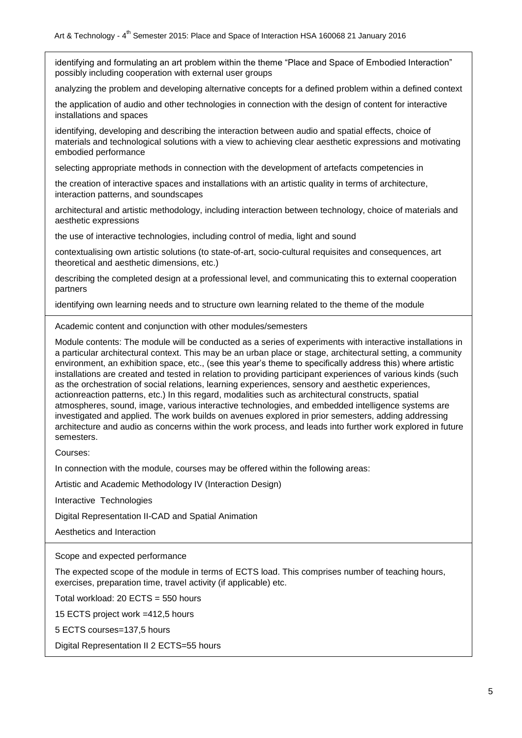identifying and formulating an art problem within the theme "Place and Space of Embodied Interaction" possibly including cooperation with external user groups

analyzing the problem and developing alternative concepts for a defined problem within a defined context

the application of audio and other technologies in connection with the design of content for interactive installations and spaces

identifying, developing and describing the interaction between audio and spatial effects, choice of materials and technological solutions with a view to achieving clear aesthetic expressions and motivating embodied performance

selecting appropriate methods in connection with the development of artefacts competencies in

the creation of interactive spaces and installations with an artistic quality in terms of architecture, interaction patterns, and soundscapes

architectural and artistic methodology, including interaction between technology, choice of materials and aesthetic expressions

the use of interactive technologies, including control of media, light and sound

contextualising own artistic solutions (to state-of-art, socio-cultural requisites and consequences, art theoretical and aesthetic dimensions, etc.)

describing the completed design at a professional level, and communicating this to external cooperation partners

identifying own learning needs and to structure own learning related to the theme of the module

Academic content and conjunction with other modules/semesters

Module contents: The module will be conducted as a series of experiments with interactive installations in a particular architectural context. This may be an urban place or stage, architectural setting, a community environment, an exhibition space, etc., (see this year"s theme to specifically address this) where artistic installations are created and tested in relation to providing participant experiences of various kinds (such as the orchestration of social relations, learning experiences, sensory and aesthetic experiences, actionreaction patterns, etc.) In this regard, modalities such as architectural constructs, spatial atmospheres, sound, image, various interactive technologies, and embedded intelligence systems are investigated and applied. The work builds on avenues explored in prior semesters, adding addressing architecture and audio as concerns within the work process, and leads into further work explored in future semesters.

Courses:

In connection with the module, courses may be offered within the following areas:

Artistic and Academic Methodology IV (Interaction Design)

Interactive Technologies

Digital Representation II-CAD and Spatial Animation

Aesthetics and Interaction

Scope and expected performance

The expected scope of the module in terms of ECTS load. This comprises number of teaching hours, exercises, preparation time, travel activity (if applicable) etc.

Total workload: 20 ECTS = 550 hours

15 ECTS project work =412,5 hours

5 ECTS courses=137,5 hours

Digital Representation II 2 ECTS=55 hours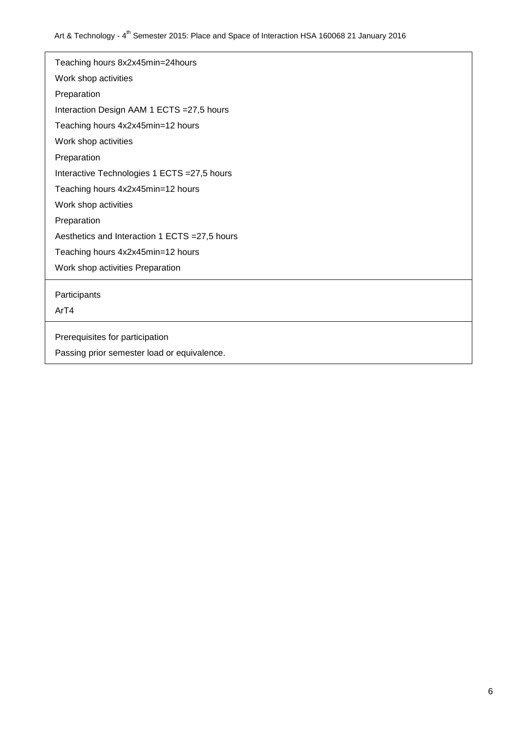| Teaching hours 8x2x45min=24hours               |
|------------------------------------------------|
| Work shop activities                           |
| Preparation                                    |
| Interaction Design AAM 1 ECTS = 27,5 hours     |
| Teaching hours 4x2x45min=12 hours              |
| Work shop activities                           |
| Preparation                                    |
| Interactive Technologies 1 ECTS = 27,5 hours   |
| Teaching hours 4x2x45min=12 hours              |
| Work shop activities                           |
| Preparation                                    |
| Aesthetics and Interaction 1 ECTS = 27,5 hours |
| Teaching hours 4x2x45min=12 hours              |
| Work shop activities Preparation               |
| Participants                                   |
| ArT4                                           |
| Prerequisites for participation                |
| Passing prior semester load or equivalence.    |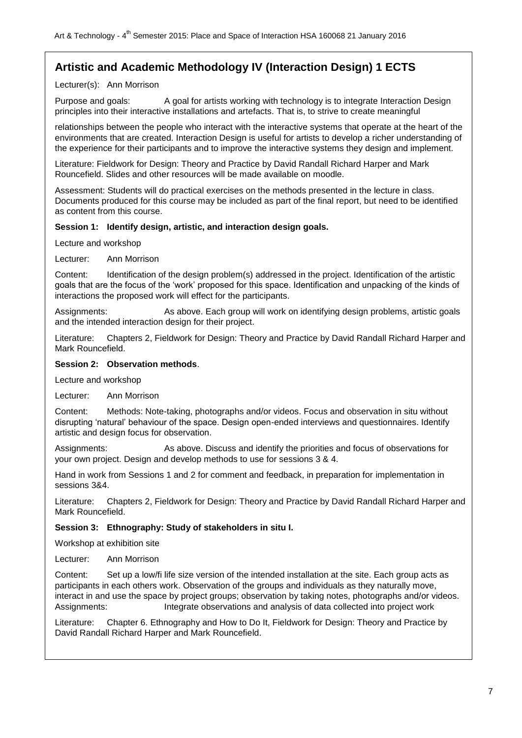## **Artistic and Academic Methodology IV (Interaction Design) 1 ECTS**

## Lecturer(s): Ann Morrison

Purpose and goals: A goal for artists working with technology is to integrate Interaction Design principles into their interactive installations and artefacts. That is, to strive to create meaningful

relationships between the people who interact with the interactive systems that operate at the heart of the environments that are created. Interaction Design is useful for artists to develop a richer understanding of the experience for their participants and to improve the interactive systems they design and implement.

Literature: Fieldwork for Design: Theory and Practice by David Randall Richard Harper and Mark Rouncefield. Slides and other resources will be made available on moodle.

Assessment: Students will do practical exercises on the methods presented in the lecture in class. Documents produced for this course may be included as part of the final report, but need to be identified as content from this course.

### **Session 1: Identify design, artistic, and interaction design goals.**

Lecture and workshop

Lecturer: Ann Morrison

Content: Identification of the design problem(s) addressed in the project. Identification of the artistic goals that are the focus of the "work" proposed for this space. Identification and unpacking of the kinds of interactions the proposed work will effect for the participants.

Assignments: As above. Each group will work on identifying design problems, artistic goals and the intended interaction design for their project.

Literature: Chapters 2, Fieldwork for Design: Theory and Practice by David Randall Richard Harper and Mark Rouncefield.

#### **Session 2: Observation methods**.

Lecture and workshop

Lecturer: Ann Morrison

Content: Methods: Note-taking, photographs and/or videos. Focus and observation in situ without disrupting "natural" behaviour of the space. Design open-ended interviews and questionnaires. Identify artistic and design focus for observation.

Assignments: As above. Discuss and identify the priorities and focus of observations for your own project. Design and develop methods to use for sessions 3 & 4.

Hand in work from Sessions 1 and 2 for comment and feedback, in preparation for implementation in sessions 3&4.

Literature: Chapters 2, Fieldwork for Design: Theory and Practice by David Randall Richard Harper and Mark Rouncefield.

#### **Session 3: Ethnography: Study of stakeholders in situ I.**

Workshop at exhibition site

Lecturer: Ann Morrison

Content: Set up a low/fi life size version of the intended installation at the site. Each group acts as participants in each others work. Observation of the groups and individuals as they naturally move, interact in and use the space by project groups; observation by taking notes, photographs and/or videos. Assignments: Integrate observations and analysis of data collected into project work

Literature: Chapter 6. Ethnography and How to Do It, Fieldwork for Design: Theory and Practice by David Randall Richard Harper and Mark Rouncefield.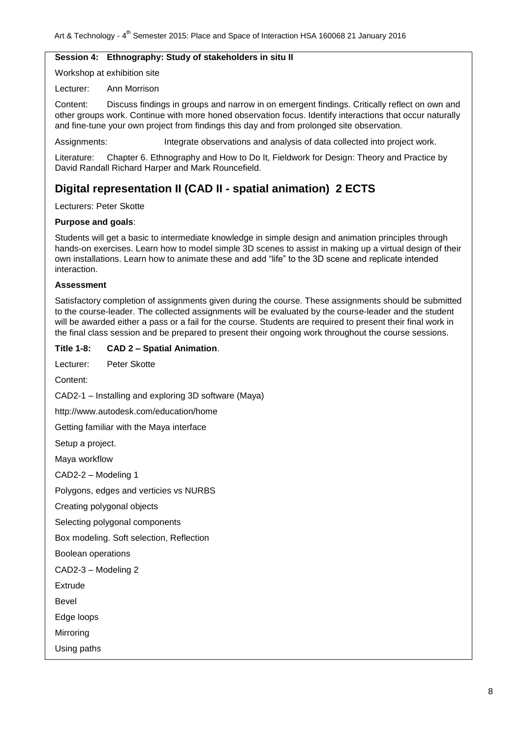### **Session 4: Ethnography: Study of stakeholders in situ II**

Workshop at exhibition site

Lecturer: Ann Morrison

Content: Discuss findings in groups and narrow in on emergent findings. Critically reflect on own and other groups work. Continue with more honed observation focus. Identify interactions that occur naturally and fine-tune your own project from findings this day and from prolonged site observation.

Assignments: Integrate observations and analysis of data collected into project work.

Literature: Chapter 6. Ethnography and How to Do It, Fieldwork for Design: Theory and Practice by David Randall Richard Harper and Mark Rouncefield.

## **Digital representation II (CAD II - spatial animation) 2 ECTS**

Lecturers: Peter Skotte

#### **Purpose and goals**:

Students will get a basic to intermediate knowledge in simple design and animation principles through hands-on exercises. Learn how to model simple 3D scenes to assist in making up a virtual design of their own installations. Learn how to animate these and add "life" to the 3D scene and replicate intended interaction.

#### **Assessment**

Satisfactory completion of assignments given during the course. These assignments should be submitted to the course-leader. The collected assignments will be evaluated by the course-leader and the student will be awarded either a pass or a fail for the course. Students are required to present their final work in the final class session and be prepared to present their ongoing work throughout the course sessions.

#### **Title 1-8: CAD 2 – Spatial Animation**.

Lecturer: Peter Skotte Content: CAD2-1 – Installing and exploring 3D software (Maya) http://www.autodesk.com/education/home Getting familiar with the Maya interface Setup a project. Maya workflow CAD2-2 – Modeling 1 Polygons, edges and verticies vs NURBS Creating polygonal objects Selecting polygonal components Box modeling. Soft selection, Reflection Boolean operations

CAD2-3 – Modeling 2

**Extrude** 

Bevel

Edge loops

Mirroring

Using paths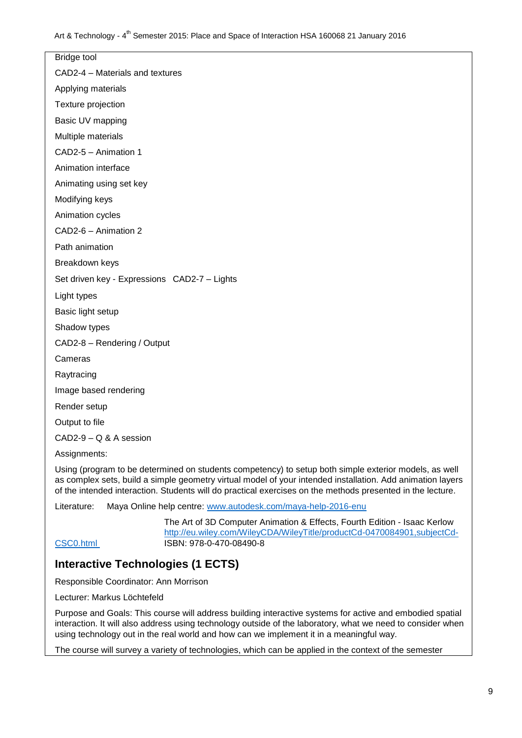Bridge tool CAD2-4 – Materials and textures Applying materials Texture projection Basic UV mapping Multiple materials CAD2-5 – Animation 1 Animation interface Animating using set key Modifying keys Animation cycles CAD2-6 – Animation 2 Path animation Breakdown keys Set driven key - Expressions CAD2-7 – Lights Light types Basic light setup Shadow types CAD2-8 – Rendering / Output Cameras Raytracing Image based rendering Render setup Output to file CAD2-9 – Q & A session Assignments:

Using (program to be determined on students competency) to setup both simple exterior models, as well as complex sets, build a simple geometry virtual model of your intended installation. Add animation layers of the intended interaction. Students will do practical exercises on the methods presented in the lecture.

Literature: Maya Online help centre: [www.autodesk.com/maya-help-2016-enu](http://www.autodesk.com/maya-help-2016-enu)

The Art of 3D Computer Animation & Effects, Fourth Edition - Isaac Kerlow [http://eu.wiley.com/WileyCDA/WileyTitle/productCd-0470084901,subjectCd-](http://eu.wiley.com/WileyCDA/WileyTitle/productCd-0470084901,subjectCd-CSC0.html)[CSC0.html](http://eu.wiley.com/WileyCDA/WileyTitle/productCd-0470084901,subjectCd-CSC0.html) ISBN: 978-0-470-08490-8

## **Interactive Technologies (1 ECTS)**

Responsible Coordinator: Ann Morrison

Lecturer: Markus Löchtefeld

Purpose and Goals: This course will address building interactive systems for active and embodied spatial interaction. It will also address using technology outside of the laboratory, what we need to consider when using technology out in the real world and how can we implement it in a meaningful way.

The course will survey a variety of technologies, which can be applied in the context of the semester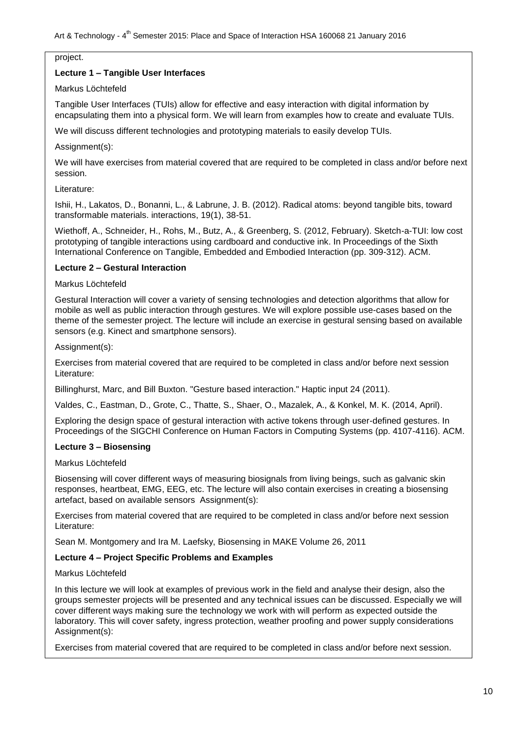#### project.

### **Lecture 1 – Tangible User Interfaces**

### Markus Löchtefeld

Tangible User Interfaces (TUIs) allow for effective and easy interaction with digital information by encapsulating them into a physical form. We will learn from examples how to create and evaluate TUIs.

We will discuss different technologies and prototyping materials to easily develop TUIs.

#### Assignment(s):

We will have exercises from material covered that are required to be completed in class and/or before next session.

#### Literature:

Ishii, H., Lakatos, D., Bonanni, L., & Labrune, J. B. (2012). Radical atoms: beyond tangible bits, toward transformable materials. interactions, 19(1), 38-51.

Wiethoff, A., Schneider, H., Rohs, M., Butz, A., & Greenberg, S. (2012, February). Sketch-a-TUI: low cost prototyping of tangible interactions using cardboard and conductive ink. In Proceedings of the Sixth International Conference on Tangible, Embedded and Embodied Interaction (pp. 309-312). ACM.

#### **Lecture 2 – Gestural Interaction**

### Markus Löchtefeld

Gestural Interaction will cover a variety of sensing technologies and detection algorithms that allow for mobile as well as public interaction through gestures. We will explore possible use-cases based on the theme of the semester project. The lecture will include an exercise in gestural sensing based on available sensors (e.g. Kinect and smartphone sensors).

Assignment(s):

Exercises from material covered that are required to be completed in class and/or before next session Literature:

Billinghurst, Marc, and Bill Buxton. "Gesture based interaction." Haptic input 24 (2011).

Valdes, C., Eastman, D., Grote, C., Thatte, S., Shaer, O., Mazalek, A., & Konkel, M. K. (2014, April).

Exploring the design space of gestural interaction with active tokens through user-defined gestures. In Proceedings of the SIGCHI Conference on Human Factors in Computing Systems (pp. 4107-4116). ACM.

## **Lecture 3 – Biosensing**

#### Markus Löchtefeld

Biosensing will cover different ways of measuring biosignals from living beings, such as galvanic skin responses, heartbeat, EMG, EEG, etc. The lecture will also contain exercises in creating a biosensing artefact, based on available sensors Assignment(s):

Exercises from material covered that are required to be completed in class and/or before next session Literature:

Sean M. Montgomery and Ira M. Laefsky, Biosensing in MAKE Volume 26, 2011

## **Lecture 4 – Project Specific Problems and Examples**

#### Markus Löchtefeld

In this lecture we will look at examples of previous work in the field and analyse their design, also the groups semester projects will be presented and any technical issues can be discussed. Especially we will cover different ways making sure the technology we work with will perform as expected outside the laboratory. This will cover safety, ingress protection, weather proofing and power supply considerations Assignment(s):

Exercises from material covered that are required to be completed in class and/or before next session.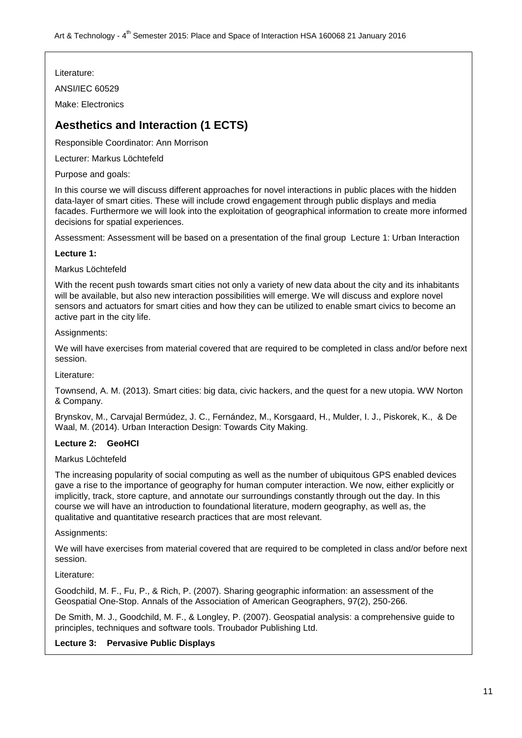Literature:

ANSI/IEC 60529

Make: Electronics

## **Aesthetics and Interaction (1 ECTS)**

Responsible Coordinator: Ann Morrison

Lecturer: Markus Löchtefeld

Purpose and goals:

In this course we will discuss different approaches for novel interactions in public places with the hidden data-layer of smart cities. These will include crowd engagement through public displays and media facades. Furthermore we will look into the exploitation of geographical information to create more informed decisions for spatial experiences.

Assessment: Assessment will be based on a presentation of the final group Lecture 1: Urban Interaction

## **Lecture 1:**

## Markus Löchtefeld

With the recent push towards smart cities not only a variety of new data about the city and its inhabitants will be available, but also new interaction possibilities will emerge. We will discuss and explore novel sensors and actuators for smart cities and how they can be utilized to enable smart civics to become an active part in the city life.

## Assignments:

We will have exercises from material covered that are required to be completed in class and/or before next session.

Literature:

Townsend, A. M. (2013). Smart cities: big data, civic hackers, and the quest for a new utopia. WW Norton & Company.

Brynskov, M., Carvajal Bermúdez, J. C., Fernández, M., Korsgaard, H., Mulder, I. J., Piskorek, K., & De Waal, M. (2014). Urban Interaction Design: Towards City Making.

## **Lecture 2: GeoHCI**

## Markus Löchtefeld

The increasing popularity of social computing as well as the number of ubiquitous GPS enabled devices gave a rise to the importance of geography for human computer interaction. We now, either explicitly or implicitly, track, store capture, and annotate our surroundings constantly through out the day. In this course we will have an introduction to foundational literature, modern geography, as well as, the qualitative and quantitative research practices that are most relevant.

## Assignments:

We will have exercises from material covered that are required to be completed in class and/or before next session.

## Literature:

Goodchild, M. F., Fu, P., & Rich, P. (2007). Sharing geographic information: an assessment of the Geospatial One-Stop. Annals of the Association of American Geographers, 97(2), 250-266.

De Smith, M. J., Goodchild, M. F., & Longley, P. (2007). Geospatial analysis: a comprehensive guide to principles, techniques and software tools. Troubador Publishing Ltd.

## **Lecture 3: Pervasive Public Displays**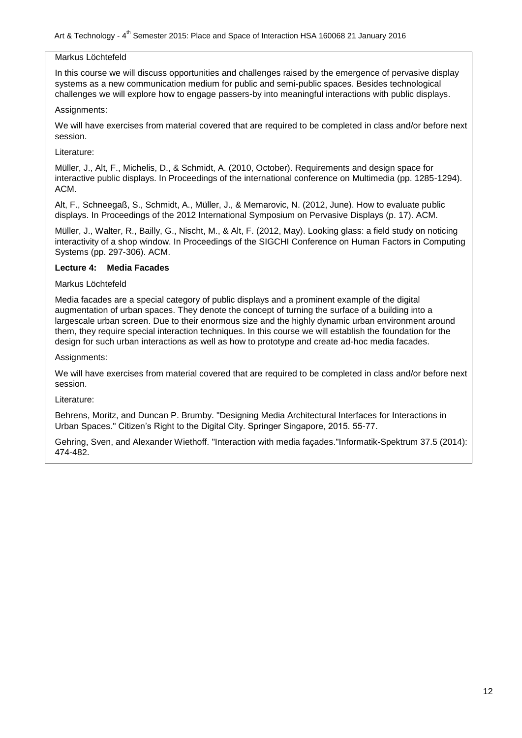#### Markus Löchtefeld

In this course we will discuss opportunities and challenges raised by the emergence of pervasive display systems as a new communication medium for public and semi-public spaces. Besides technological challenges we will explore how to engage passers-by into meaningful interactions with public displays.

#### Assignments:

We will have exercises from material covered that are required to be completed in class and/or before next session.

#### Literature:

Müller, J., Alt, F., Michelis, D., & Schmidt, A. (2010, October). Requirements and design space for interactive public displays. In Proceedings of the international conference on Multimedia (pp. 1285-1294). ACM.

Alt, F., Schneegaß, S., Schmidt, A., Müller, J., & Memarovic, N. (2012, June). How to evaluate public displays. In Proceedings of the 2012 International Symposium on Pervasive Displays (p. 17). ACM.

Müller, J., Walter, R., Bailly, G., Nischt, M., & Alt, F. (2012, May). Looking glass: a field study on noticing interactivity of a shop window. In Proceedings of the SIGCHI Conference on Human Factors in Computing Systems (pp. 297-306). ACM.

#### **Lecture 4: Media Facades**

## Markus Löchtefeld

Media facades are a special category of public displays and a prominent example of the digital augmentation of urban spaces. They denote the concept of turning the surface of a building into a largescale urban screen. Due to their enormous size and the highly dynamic urban environment around them, they require special interaction techniques. In this course we will establish the foundation for the design for such urban interactions as well as how to prototype and create ad-hoc media facades.

Assignments:

We will have exercises from material covered that are required to be completed in class and/or before next session.

## Literature:

Behrens, Moritz, and Duncan P. Brumby. "Designing Media Architectural Interfaces for Interactions in Urban Spaces." Citizen"s Right to the Digital City. Springer Singapore, 2015. 55-77.

Gehring, Sven, and Alexander Wiethoff. "Interaction with media façades."Informatik-Spektrum 37.5 (2014): 474-482.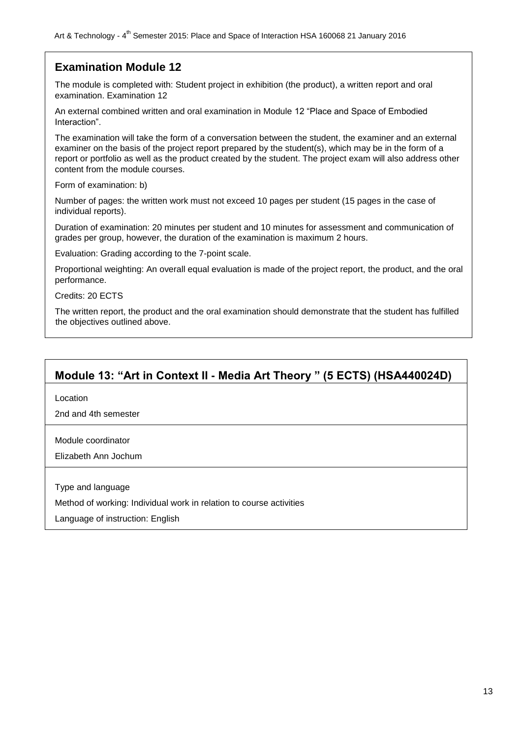## **Examination Module 12**

The module is completed with: Student project in exhibition (the product), a written report and oral examination. Examination 12

An external combined written and oral examination in Module 12 "Place and Space of Embodied Interaction".

The examination will take the form of a conversation between the student, the examiner and an external examiner on the basis of the project report prepared by the student(s), which may be in the form of a report or portfolio as well as the product created by the student. The project exam will also address other content from the module courses.

Form of examination: b)

Number of pages: the written work must not exceed 10 pages per student (15 pages in the case of individual reports).

Duration of examination: 20 minutes per student and 10 minutes for assessment and communication of grades per group, however, the duration of the examination is maximum 2 hours.

Evaluation: Grading according to the 7-point scale.

Proportional weighting: An overall equal evaluation is made of the project report, the product, and the oral performance.

Credits: 20 ECTS

The written report, the product and the oral examination should demonstrate that the student has fulfilled the objectives outlined above.

## **Module 13: "Art in Context II - Media Art Theory " (5 ECTS) (HSA440024D)**

Location

2nd and 4th semester

Module coordinator

Elizabeth Ann Jochum

Type and language

Method of working: Individual work in relation to course activities

Language of instruction: English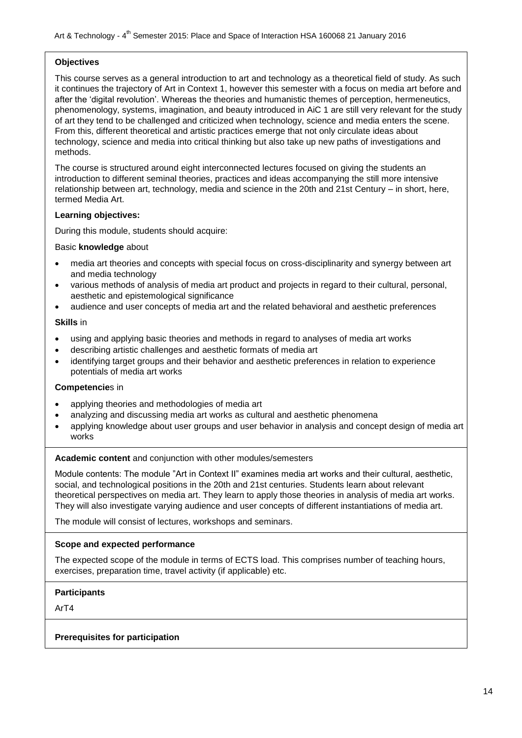### **Objectives**

This course serves as a general introduction to art and technology as a theoretical field of study. As such it continues the trajectory of Art in Context 1, however this semester with a focus on media art before and after the "digital revolution". Whereas the theories and humanistic themes of perception, hermeneutics, phenomenology, systems, imagination, and beauty introduced in AiC 1 are still very relevant for the study of art they tend to be challenged and criticized when technology, science and media enters the scene. From this, different theoretical and artistic practices emerge that not only circulate ideas about technology, science and media into critical thinking but also take up new paths of investigations and methods.

The course is structured around eight interconnected lectures focused on giving the students an introduction to different seminal theories, practices and ideas accompanying the still more intensive relationship between art, technology, media and science in the 20th and 21st Century – in short, here, termed Media Art.

#### **Learning objectives:**

During this module, students should acquire:

#### Basic **knowledge** about

- media art theories and concepts with special focus on cross-disciplinarity and synergy between art and media technology
- various methods of analysis of media art product and projects in regard to their cultural, personal, aesthetic and epistemological significance
- audience and user concepts of media art and the related behavioral and aesthetic preferences

#### **Skills** in

- using and applying basic theories and methods in regard to analyses of media art works
- describing artistic challenges and aesthetic formats of media art
- identifying target groups and their behavior and aesthetic preferences in relation to experience potentials of media art works

#### **Competencie**s in

- applying theories and methodologies of media art
- analyzing and discussing media art works as cultural and aesthetic phenomena
- applying knowledge about user groups and user behavior in analysis and concept design of media art works

#### **Academic content** and conjunction with other modules/semesters

Module contents: The module "Art in Context II" examines media art works and their cultural, aesthetic, social, and technological positions in the 20th and 21st centuries. Students learn about relevant theoretical perspectives on media art. They learn to apply those theories in analysis of media art works. They will also investigate varying audience and user concepts of different instantiations of media art.

The module will consist of lectures, workshops and seminars.

## **Scope and expected performance**

The expected scope of the module in terms of ECTS load. This comprises number of teaching hours, exercises, preparation time, travel activity (if applicable) etc.

## **Participants**

ArT4

## **Prerequisites for participation**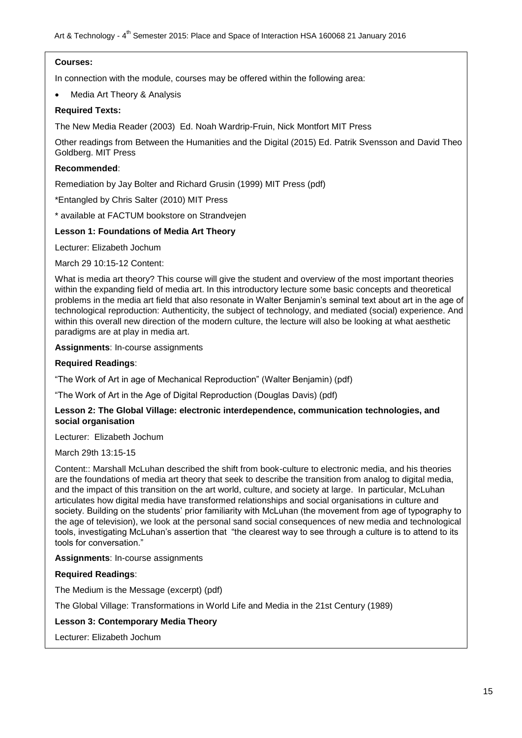### **Courses:**

In connection with the module, courses may be offered within the following area:

Media Art Theory & Analysis

### **Required Texts:**

The New Media Reader (2003) Ed. Noah Wardrip-Fruin, Nick Montfort MIT Press

Other readings from Between the Humanities and the Digital (2015) Ed. Patrik Svensson and David Theo Goldberg. MIT Press

## **Recommended**:

Remediation by Jay Bolter and Richard Grusin (1999) MIT Press (pdf)

\*Entangled by Chris Salter (2010) MIT Press

\* available at FACTUM bookstore on Strandvejen

## **Lesson 1: Foundations of Media Art Theory**

Lecturer: Elizabeth Jochum

March 29 10:15-12 Content:

What is media art theory? This course will give the student and overview of the most important theories within the expanding field of media art. In this introductory lecture some basic concepts and theoretical problems in the media art field that also resonate in Walter Benjamin"s seminal text about art in the age of technological reproduction: Authenticity, the subject of technology, and mediated (social) experience. And within this overall new direction of the modern culture, the lecture will also be looking at what aesthetic paradigms are at play in media art.

**Assignments**: In-course assignments

#### **Required Readings**:

"The Work of Art in age of Mechanical Reproduction" (Walter Benjamin) (pdf)

"The Work of Art in the Age of Digital Reproduction (Douglas Davis) (pdf)

#### **Lesson 2: The Global Village: electronic interdependence, communication technologies, and social organisation**

Lecturer: Elizabeth Jochum

March 29th 13:15-15

Content:: Marshall McLuhan described the shift from book-culture to electronic media, and his theories are the foundations of media art theory that seek to describe the transition from analog to digital media, and the impact of this transition on the art world, culture, and society at large. In particular, McLuhan articulates how digital media have transformed relationships and social organisations in culture and society. Building on the students' prior familiarity with McLuhan (the movement from age of typography to the age of television), we look at the personal sand social consequences of new media and technological tools, investigating McLuhan"s assertion that "the clearest way to see through a culture is to attend to its tools for conversation."

**Assignments**: In-course assignments

## **Required Readings**:

The Medium is the Message (excerpt) (pdf)

The Global Village: Transformations in World Life and Media in the 21st Century (1989)

## **Lesson 3: Contemporary Media Theory**

Lecturer: Elizabeth Jochum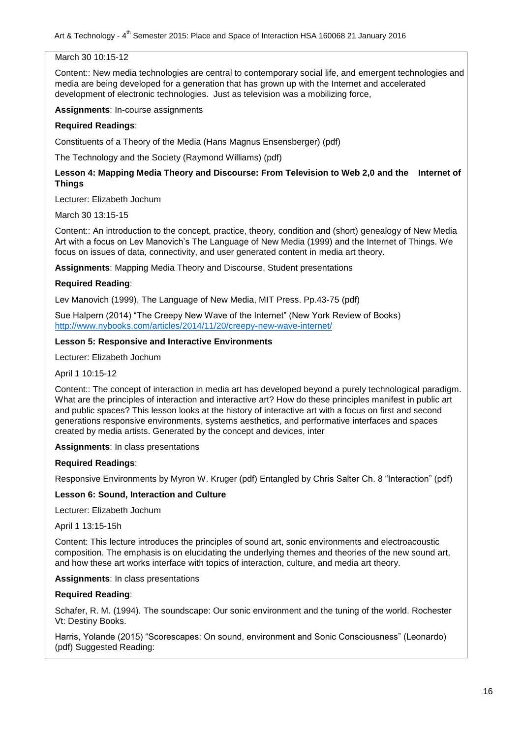## March 30 10:15-12

Content:: New media technologies are central to contemporary social life, and emergent technologies and media are being developed for a generation that has grown up with the Internet and accelerated development of electronic technologies. Just as television was a mobilizing force,

**Assignments**: In-course assignments

### **Required Readings**:

Constituents of a Theory of the Media (Hans Magnus Ensensberger) (pdf)

The Technology and the Society (Raymond Williams) (pdf)

## **Lesson 4: Mapping Media Theory and Discourse: From Television to Web 2,0 and the Internet of Things**

Lecturer: Elizabeth Jochum

March 30 13:15-15

Content:: An introduction to the concept, practice, theory, condition and (short) genealogy of New Media Art with a focus on Ley Manovich's The Language of New Media (1999) and the Internet of Things. We focus on issues of data, connectivity, and user generated content in media art theory.

**Assignments**: Mapping Media Theory and Discourse, Student presentations

#### **Required Reading**:

Lev Manovich (1999), The Language of New Media, MIT Press. Pp.43-75 (pdf)

Sue Halpern (2014) "The Creepy New Wave of the Internet" (New York Review of Books) <http://www.nybooks.com/articles/2014/11/20/creepy-new-wave-internet/>

#### **Lesson 5: Responsive and Interactive Environments**

Lecturer: Elizabeth Jochum

April 1 10:15-12

Content:: The concept of interaction in media art has developed beyond a purely technological paradigm. What are the principles of interaction and interactive art? How do these principles manifest in public art and public spaces? This lesson looks at the history of interactive art with a focus on first and second generations responsive environments, systems aesthetics, and performative interfaces and spaces created by media artists. Generated by the concept and devices, inter

**Assignments**: In class presentations

#### **Required Readings**:

Responsive Environments by Myron W. Kruger (pdf) Entangled by Chris Salter Ch. 8 "Interaction" (pdf)

#### **Lesson 6: Sound, Interaction and Culture**

Lecturer: Elizabeth Jochum

April 1 13:15-15h

Content: This lecture introduces the principles of sound art, sonic environments and electroacoustic composition. The emphasis is on elucidating the underlying themes and theories of the new sound art, and how these art works interface with topics of interaction, culture, and media art theory.

**Assignments**: In class presentations

#### **Required Reading**:

Schafer, R. M. (1994). The soundscape: Our sonic environment and the tuning of the world. Rochester Vt: Destiny Books.

Harris, Yolande (2015) "Scorescapes: On sound, environment and Sonic Consciousness" (Leonardo) (pdf) Suggested Reading: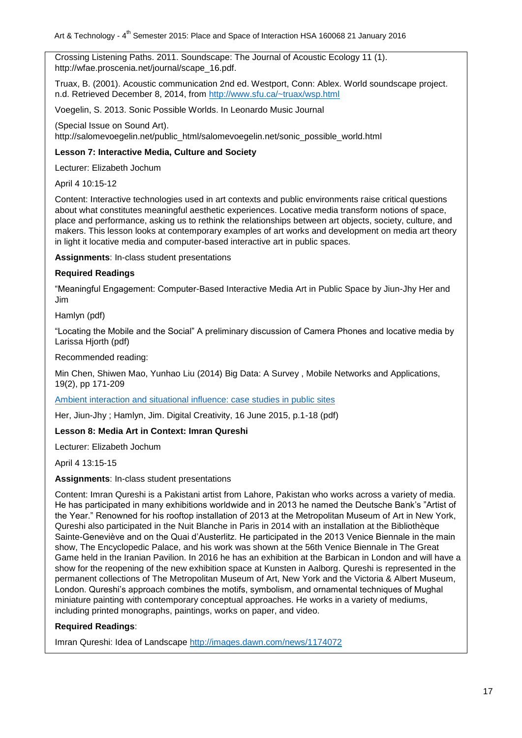Crossing Listening Paths. 2011. Soundscape: The Journal of Acoustic Ecology 11 (1). http://wfae.proscenia.net/journal/scape\_16.pdf.

Truax, B. (2001). Acoustic communication 2nd ed. Westport, Conn: Ablex. World soundscape project. n.d. Retrieved December 8, 2014, from<http://www.sfu.ca/~truax/wsp.html>

Voegelin, S. 2013. Sonic Possible Worlds. In Leonardo Music Journal

(Special Issue on Sound Art).

http://salomevoegelin.net/public\_html/salomevoegelin.net/sonic\_possible\_world.html

## **Lesson 7: Interactive Media, Culture and Society**

Lecturer: Elizabeth Jochum

April 4 10:15-12

Content: Interactive technologies used in art contexts and public environments raise critical questions about what constitutes meaningful aesthetic experiences. Locative media transform notions of space, place and performance, asking us to rethink the relationships between art objects, society, culture, and makers. This lesson looks at contemporary examples of art works and development on media art theory in light it locative media and computer-based interactive art in public spaces.

**Assignments**: In-class student presentations

## **Required Readings**

"Meaningful Engagement: Computer-Based Interactive Media Art in Public Space by Jiun-Jhy Her and Jim

Hamlyn (pdf)

"Locating the Mobile and the Social" A preliminary discussion of Camera Phones and locative media by Larissa Hjorth (pdf)

Recommended reading:

Min Chen, Shiwen Mao, Yunhao Liu (2014) Big Data: A Survey , Mobile Networks and Applications, 19(2), pp 171-209

Ambient interaction and situational influence: case studies in public sites

Her, Jiun-Jhy ; Hamlyn, Jim. Digital Creativity, 16 June 2015, p.1-18 (pdf)

## **Lesson 8: Media Art in Context: Imran Qureshi**

Lecturer: Elizabeth Jochum

April 4 13:15-15

#### **Assignments**: In-class student presentations

Content: Imran Qureshi is a Pakistani artist from Lahore, Pakistan who works across a variety of media. He has participated in many exhibitions worldwide and in 2013 he named the Deutsche Bank"s "Artist of the Year." Renowned for his rooftop installation of 2013 at the Metropolitan Museum of Art in New York, Qureshi also participated in the Nuit Blanche in Paris in 2014 with an installation at the Bibliothèque Sainte-Geneviève and on the Quai d"Austerlitz. He participated in the 2013 Venice Biennale in the main show, The Encyclopedic Palace, and his work was shown at the 56th Venice Biennale in The Great Game held in the Iranian Pavilion. In 2016 he has an exhibition at the Barbican in London and will have a show for the reopening of the new exhibition space at Kunsten in Aalborg. Qureshi is represented in the permanent collections of The Metropolitan Museum of Art, New York and the Victoria & Albert Museum, London. Qureshi"s approach combines the motifs, symbolism, and ornamental techniques of Mughal miniature painting with contemporary conceptual approaches. He works in a variety of mediums, including printed monographs, paintings, works on paper, and video.

## **Required Readings**:

Imran Qureshi: Idea of Landscape<http://images.dawn.com/news/1174072>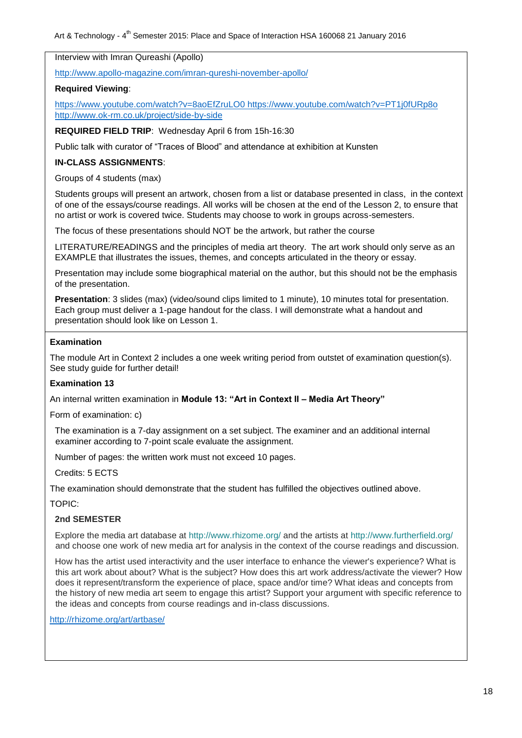Interview with Imran Qureashi (Apollo)

<http://www.apollo-magazine.com/imran-qureshi-november-apollo/>

## **Required Viewing**:

<https://www.youtube.com/watch?v=8aoEfZruLO0> <https://www.youtube.com/watch?v=PT1j0fURp8o> <http://www.ok-rm.co.uk/project/side-by-side>

**REQUIRED FIELD TRIP**: Wednesday April 6 from 15h-16:30

Public talk with curator of "Traces of Blood" and attendance at exhibition at Kunsten

## **IN-CLASS ASSIGNMENTS**:

Groups of 4 students (max)

Students groups will present an artwork, chosen from a list or database presented in class, in the context of one of the essays/course readings. All works will be chosen at the end of the Lesson 2, to ensure that no artist or work is covered twice. Students may choose to work in groups across-semesters.

The focus of these presentations should NOT be the artwork, but rather the course

LITERATURE/READINGS and the principles of media art theory. The art work should only serve as an EXAMPLE that illustrates the issues, themes, and concepts articulated in the theory or essay.

Presentation may include some biographical material on the author, but this should not be the emphasis of the presentation.

**Presentation**: 3 slides (max) (video/sound clips limited to 1 minute), 10 minutes total for presentation. Each group must deliver a 1-page handout for the class. I will demonstrate what a handout and presentation should look like on Lesson 1.

#### **Examination**

The module Art in Context 2 includes a one week writing period from outstet of examination question(s). See study guide for further detail!

## **Examination 13**

An internal written examination in **Module 13: "Art in Context II – Media Art Theory"**

Form of examination: c)

The examination is a 7-day assignment on a set subject. The examiner and an additional internal examiner according to 7-point scale evaluate the assignment.

Number of pages: the written work must not exceed 10 pages.

Credits: 5 ECTS

The examination should demonstrate that the student has fulfilled the objectives outlined above.

TOPIC:

## **2nd SEMESTER**

Explore the media art database at<http://www.rhizome.org/> and the artists at<http://www.furtherfield.org/> and choose one work of new media art for analysis in the context of the course readings and discussion.

How has the artist used interactivity and the user interface to enhance the viewer's experience? What is this art work about about? What is the subject? How does this art work address/activate the viewer? How does it represent/transform the experience of place, space and/or time? What ideas and concepts from the history of new media art seem to engage this artist? Support your argument with specific reference to the ideas and concepts from course readings and in-class discussions.

<http://rhizome.org/art/artbase/>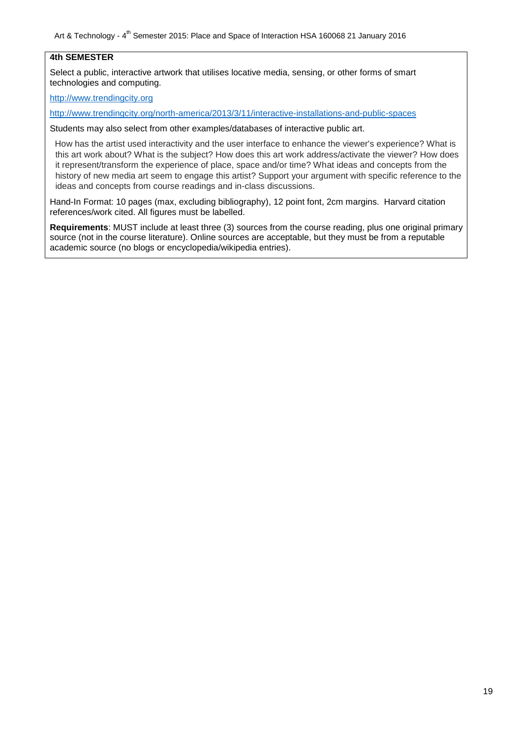Art & Technology - 4<sup>th</sup> Semester 2015: Place and Space of Interaction HSA 160068 21 January 2016

## **4th SEMESTER**

Select a public, interactive artwork that utilises locative media, sensing, or other forms of smart technologies and computing.

[http://www.trendingcity.org](http://www.trendingcity.org/)

<http://www.trendingcity.org/north-america/2013/3/11/interactive-installations-and-public-spaces>

Students may also select from other examples/databases of interactive public art.

How has the artist used interactivity and the user interface to enhance the viewer's experience? What is this art work about? What is the subject? How does this art work address/activate the viewer? How does it represent/transform the experience of place, space and/or time? What ideas and concepts from the history of new media art seem to engage this artist? Support your argument with specific reference to the ideas and concepts from course readings and in-class discussions.

Hand-In Format: 10 pages (max, excluding bibliography), 12 point font, 2cm margins. Harvard citation references/work cited. All figures must be labelled.

**Requirements**: MUST include at least three (3) sources from the course reading, plus one original primary source (not in the course literature). Online sources are acceptable, but they must be from a reputable academic source (no blogs or encyclopedia/wikipedia entries).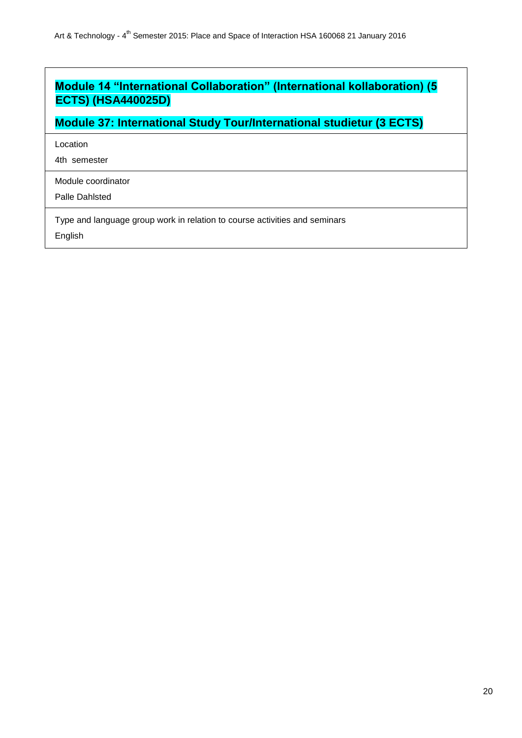## **Module 14 "International Collaboration" (International kollaboration) (5 ECTS) (HSA440025D)**

**Module 37: International Study Tour/International studietur (3 ECTS)**

Location

4th semester

Module coordinator

Palle Dahlsted

Type and language group work in relation to course activities and seminars English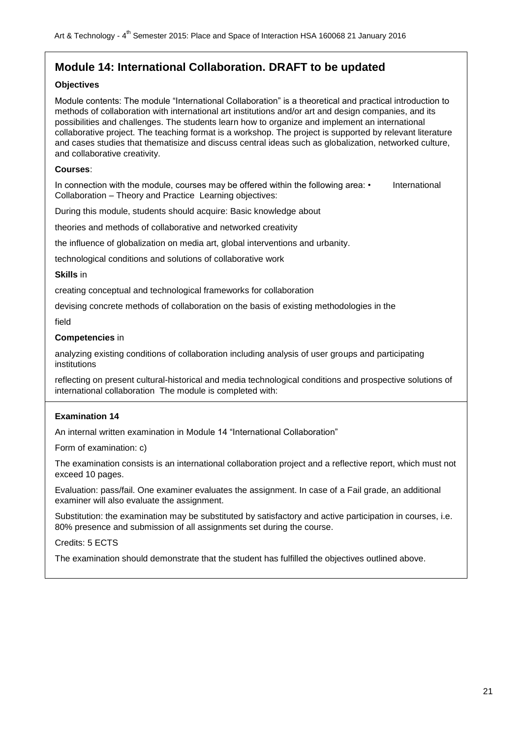## **Module 14: International Collaboration. DRAFT to be updated**

## **Objectives**

Module contents: The module "International Collaboration" is a theoretical and practical introduction to methods of collaboration with international art institutions and/or art and design companies, and its possibilities and challenges. The students learn how to organize and implement an international collaborative project. The teaching format is a workshop. The project is supported by relevant literature and cases studies that thematisize and discuss central ideas such as globalization, networked culture, and collaborative creativity.

### **Courses**:

In connection with the module, courses may be offered within the following area: • International Collaboration – Theory and Practice Learning objectives:

During this module, students should acquire: Basic knowledge about

theories and methods of collaborative and networked creativity

the influence of globalization on media art, global interventions and urbanity.

technological conditions and solutions of collaborative work

#### **Skills** in

creating conceptual and technological frameworks for collaboration

devising concrete methods of collaboration on the basis of existing methodologies in the

field

#### **Competencies** in

analyzing existing conditions of collaboration including analysis of user groups and participating institutions

reflecting on present cultural-historical and media technological conditions and prospective solutions of international collaboration The module is completed with:

## **Examination 14**

An internal written examination in Module 14 "International Collaboration"

Form of examination: c)

The examination consists is an international collaboration project and a reflective report, which must not exceed 10 pages.

Evaluation: pass/fail. One examiner evaluates the assignment. In case of a Fail grade, an additional examiner will also evaluate the assignment.

Substitution: the examination may be substituted by satisfactory and active participation in courses, i.e. 80% presence and submission of all assignments set during the course.

Credits: 5 ECTS

The examination should demonstrate that the student has fulfilled the objectives outlined above.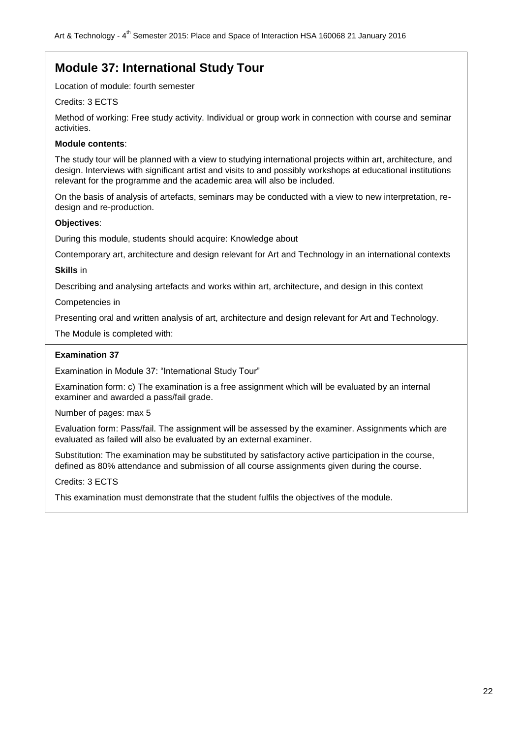## **Module 37: International Study Tour**

Location of module: fourth semester

## Credits: 3 ECTS

Method of working: Free study activity. Individual or group work in connection with course and seminar activities.

## **Module contents**:

The study tour will be planned with a view to studying international projects within art, architecture, and design. Interviews with significant artist and visits to and possibly workshops at educational institutions relevant for the programme and the academic area will also be included.

On the basis of analysis of artefacts, seminars may be conducted with a view to new interpretation, redesign and re-production.

## **Objectives**:

During this module, students should acquire: Knowledge about

Contemporary art, architecture and design relevant for Art and Technology in an international contexts

**Skills** in

Describing and analysing artefacts and works within art, architecture, and design in this context

Competencies in

Presenting oral and written analysis of art, architecture and design relevant for Art and Technology.

The Module is completed with:

## **Examination 37**

Examination in Module 37: "International Study Tour"

Examination form: c) The examination is a free assignment which will be evaluated by an internal examiner and awarded a pass/fail grade.

Number of pages: max 5

Evaluation form: Pass/fail. The assignment will be assessed by the examiner. Assignments which are evaluated as failed will also be evaluated by an external examiner.

Substitution: The examination may be substituted by satisfactory active participation in the course, defined as 80% attendance and submission of all course assignments given during the course.

Credits: 3 ECTS

This examination must demonstrate that the student fulfils the objectives of the module.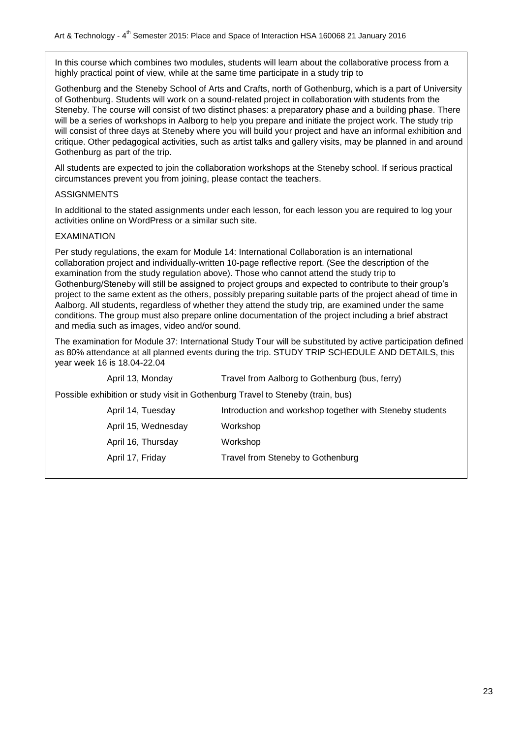In this course which combines two modules, students will learn about the collaborative process from a highly practical point of view, while at the same time participate in a study trip to

Gothenburg and the Steneby School of Arts and Crafts, north of Gothenburg, which is a part of University of Gothenburg. Students will work on a sound-related project in collaboration with students from the Steneby. The course will consist of two distinct phases: a preparatory phase and a building phase. There will be a series of workshops in Aalborg to help you prepare and initiate the project work. The study trip will consist of three days at Steneby where you will build your project and have an informal exhibition and critique. Other pedagogical activities, such as artist talks and gallery visits, may be planned in and around Gothenburg as part of the trip.

All students are expected to join the collaboration workshops at the Steneby school. If serious practical circumstances prevent you from joining, please contact the teachers.

#### ASSIGNMENTS

In additional to the stated assignments under each lesson, for each lesson you are required to log your activities online on WordPress or a similar such site.

#### EXAMINATION

Per study regulations, the exam for Module 14: International Collaboration is an international collaboration project and individually-written 10-page reflective report. (See the description of the examination from the study regulation above). Those who cannot attend the study trip to Gothenburg/Steneby will still be assigned to project groups and expected to contribute to their group"s project to the same extent as the others, possibly preparing suitable parts of the project ahead of time in Aalborg. All students, regardless of whether they attend the study trip, are examined under the same conditions. The group must also prepare online documentation of the project including a brief abstract and media such as images, video and/or sound.

The examination for Module 37: International Study Tour will be substituted by active participation defined as 80% attendance at all planned events during the trip. STUDY TRIP SCHEDULE AND DETAILS, this year week 16 is 18.04-22.04

April 13, Monday Travel from Aalborg to Gothenburg (bus, ferry)

Possible exhibition or study visit in Gothenburg Travel to Steneby (train, bus)

| April 14, Tuesday   | Introduction and workshop together with Steneby students |
|---------------------|----------------------------------------------------------|
| April 15, Wednesday | Workshop                                                 |
| April 16, Thursday  | Workshop                                                 |
| April 17, Friday    | Travel from Steneby to Gothenburg                        |
|                     |                                                          |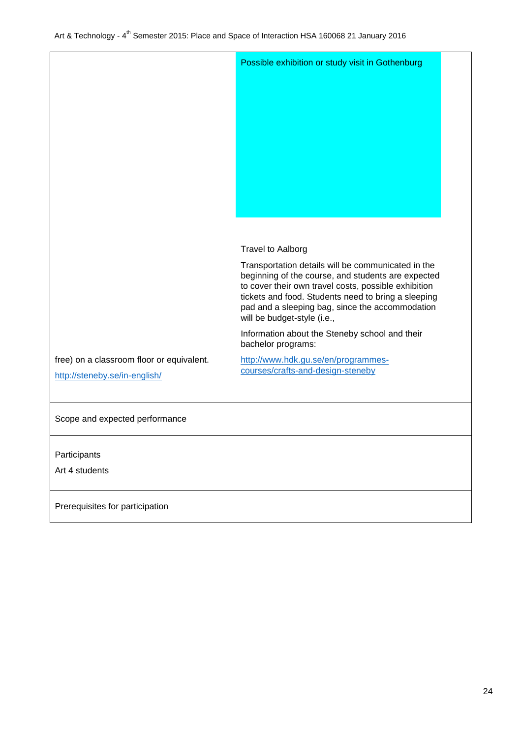|                                                                            | Possible exhibition or study visit in Gothenburg                                                                                                                                                                                                                                                          |  |
|----------------------------------------------------------------------------|-----------------------------------------------------------------------------------------------------------------------------------------------------------------------------------------------------------------------------------------------------------------------------------------------------------|--|
|                                                                            |                                                                                                                                                                                                                                                                                                           |  |
|                                                                            | <b>Travel to Aalborg</b>                                                                                                                                                                                                                                                                                  |  |
|                                                                            | Transportation details will be communicated in the<br>beginning of the course, and students are expected<br>to cover their own travel costs, possible exhibition<br>tickets and food. Students need to bring a sleeping<br>pad and a sleeping bag, since the accommodation<br>will be budget-style (i.e., |  |
|                                                                            | Information about the Steneby school and their<br>bachelor programs:                                                                                                                                                                                                                                      |  |
| free) on a classroom floor or equivalent.<br>http://steneby.se/in-english/ | http://www.hdk.gu.se/en/programmes-<br>courses/crafts-and-design-steneby                                                                                                                                                                                                                                  |  |
| Scope and expected performance                                             |                                                                                                                                                                                                                                                                                                           |  |
| Participants<br>Art 4 students                                             |                                                                                                                                                                                                                                                                                                           |  |
| Prerequisites for participation                                            |                                                                                                                                                                                                                                                                                                           |  |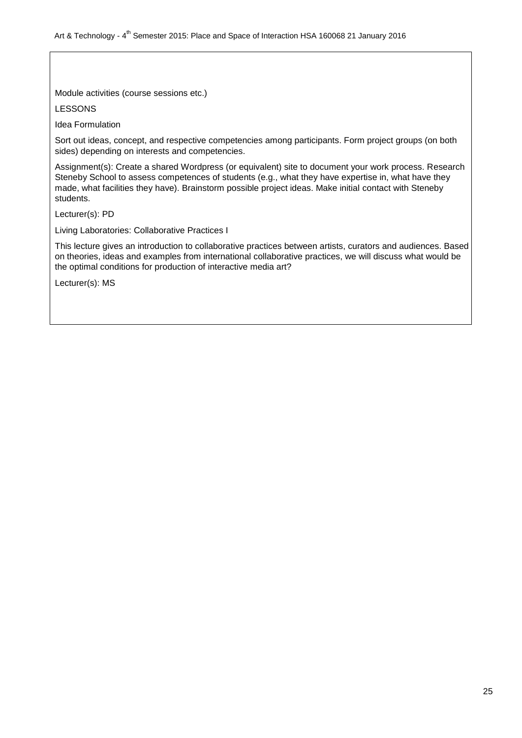Module activities (course sessions etc.)

LESSONS

Idea Formulation

Sort out ideas, concept, and respective competencies among participants. Form project groups (on both sides) depending on interests and competencies.

Assignment(s): Create a shared Wordpress (or equivalent) site to document your work process. Research Steneby School to assess competences of students (e.g., what they have expertise in, what have they made, what facilities they have). Brainstorm possible project ideas. Make initial contact with Steneby students.

Lecturer(s): PD

Living Laboratories: Collaborative Practices I

This lecture gives an introduction to collaborative practices between artists, curators and audiences. Based on theories, ideas and examples from international collaborative practices, we will discuss what would be the optimal conditions for production of interactive media art?

Lecturer(s): MS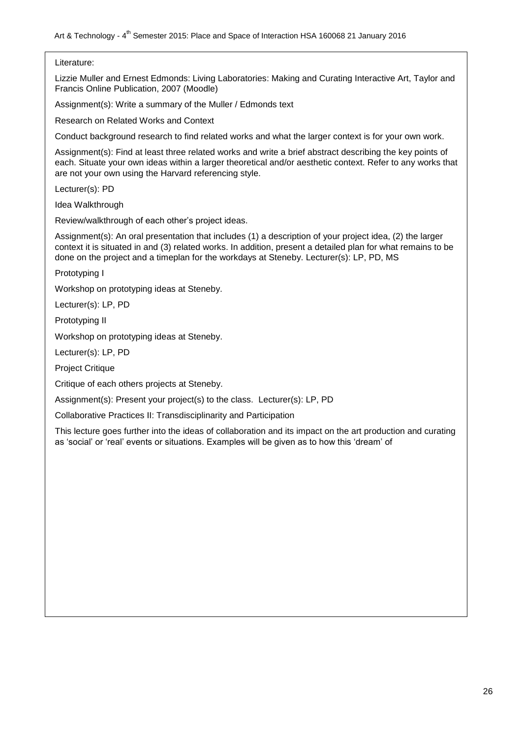## Literature:

Lizzie Muller and Ernest Edmonds: Living Laboratories: Making and Curating Interactive Art, Taylor and Francis Online Publication, 2007 (Moodle)

Assignment(s): Write a summary of the Muller / Edmonds text

Research on Related Works and Context

Conduct background research to find related works and what the larger context is for your own work.

Assignment(s): Find at least three related works and write a brief abstract describing the key points of each. Situate your own ideas within a larger theoretical and/or aesthetic context. Refer to any works that are not your own using the Harvard referencing style.

Lecturer(s): PD

Idea Walkthrough

Review/walkthrough of each other"s project ideas.

Assignment(s): An oral presentation that includes (1) a description of your project idea, (2) the larger context it is situated in and (3) related works. In addition, present a detailed plan for what remains to be done on the project and a timeplan for the workdays at Steneby. Lecturer(s): LP, PD, MS

Prototyping I

Workshop on prototyping ideas at Steneby.

Lecturer(s): LP, PD

Prototyping II

Workshop on prototyping ideas at Steneby.

Lecturer(s): LP, PD

Project Critique

Critique of each others projects at Steneby.

Assignment(s): Present your project(s) to the class. Lecturer(s): LP, PD

Collaborative Practices II: Transdisciplinarity and Participation

This lecture goes further into the ideas of collaboration and its impact on the art production and curating as "social" or "real" events or situations. Examples will be given as to how this "dream" of